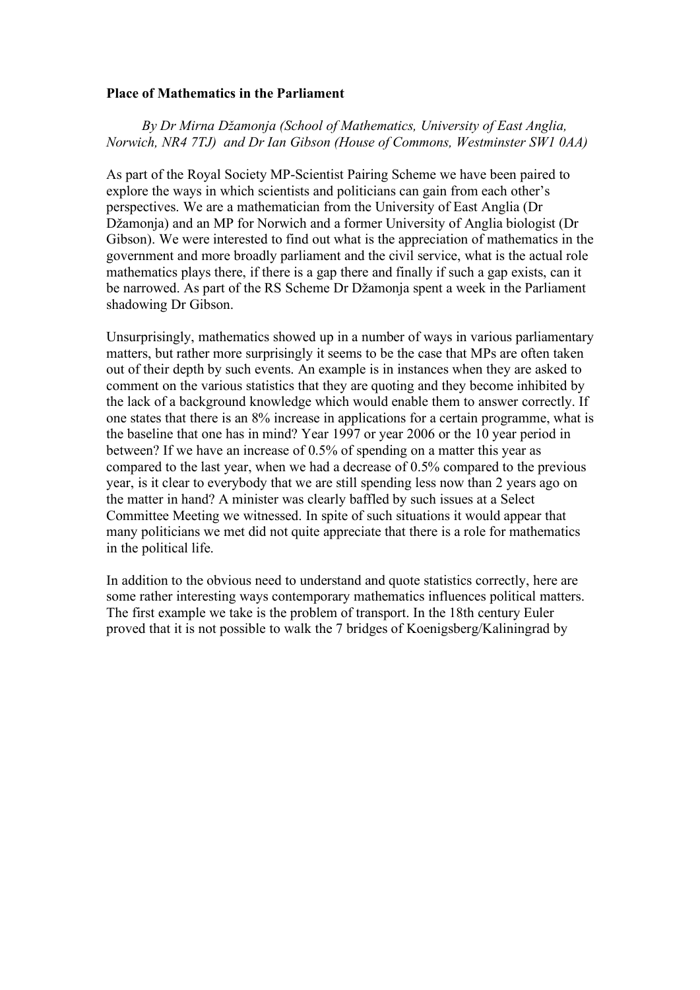## **Place of Mathematics in the Parliament**

 *By Dr Mirna Džamonja (School of Mathematics, University of East Anglia, Norwich, NR4 7TJ) and Dr Ian Gibson (House of Commons, Westminster SW1 0AA)*

As part of the Royal Society MP-Scientist Pairing Scheme we have been paired to explore the ways in which scientists and politicians can gain from each other's perspectives. We are a mathematician from the University of East Anglia (Dr Džamonja) and an MP for Norwich and a former University of Anglia biologist (Dr Gibson). We were interested to find out what is the appreciation of mathematics in the government and more broadly parliament and the civil service, what is the actual role mathematics plays there, if there is a gap there and finally if such a gap exists, can it be narrowed. As part of the RS Scheme Dr Džamonja spent a week in the Parliament shadowing Dr Gibson.

Unsurprisingly, mathematics showed up in a number of ways in various parliamentary matters, but rather more surprisingly it seems to be the case that MPs are often taken out of their depth by such events. An example is in instances when they are asked to comment on the various statistics that they are quoting and they become inhibited by the lack of a background knowledge which would enable them to answer correctly. If one states that there is an 8% increase in applications for a certain programme, what is the baseline that one has in mind? Year 1997 or year 2006 or the 10 year period in between? If we have an increase of 0.5% of spending on a matter this year as compared to the last year, when we had a decrease of 0.5% compared to the previous year, is it clear to everybody that we are still spending less now than 2 years ago on the matter in hand? A minister was clearly baffled by such issues at a Select Committee Meeting we witnessed. In spite of such situations it would appear that many politicians we met did not quite appreciate that there is a role for mathematics in the political life.

In addition to the obvious need to understand and quote statistics correctly, here are some rather interesting ways contemporary mathematics influences political matters. The first example we take is the problem of transport. In the 18th century Euler proved that it is not possible to walk the 7 bridges of Koenigsberg/Kaliningrad by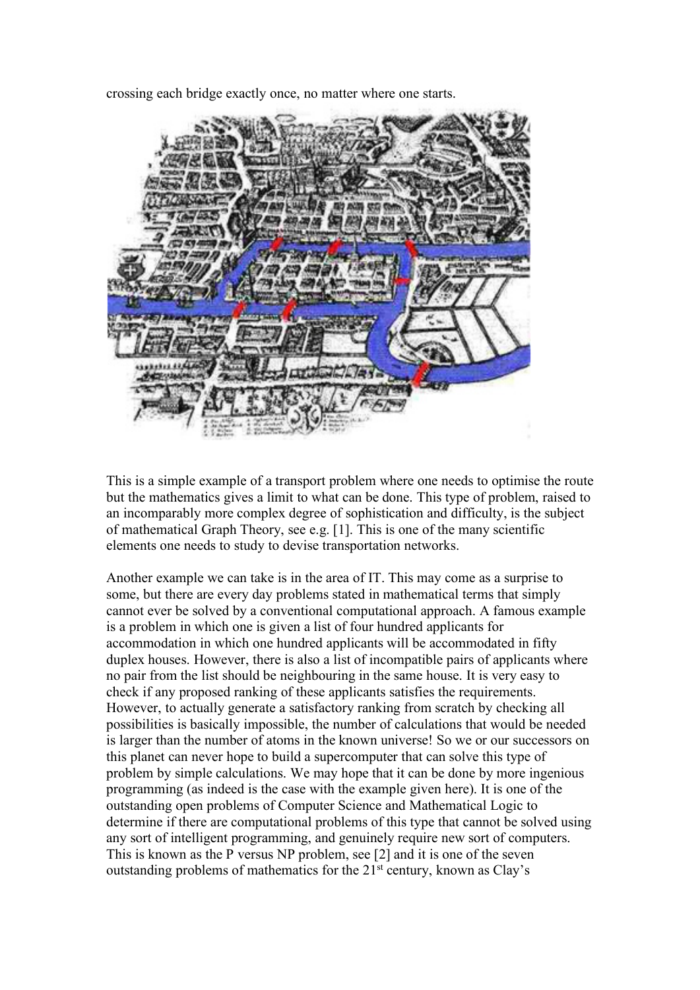crossing each bridge exactly once, no matter where one starts.



This is a simple example of a transport problem where one needs to optimise the route but the mathematics gives a limit to what can be done. This type of problem, raised to an incomparably more complex degree of sophistication and difficulty, is the subject of mathematical Graph Theory, see e.g. [1]. This is one of the many scientific elements one needs to study to devise transportation networks.

Another example we can take is in the area of IT. This may come as a surprise to some, but there are every day problems stated in mathematical terms that simply cannot ever be solved by a conventional computational approach. A famous example is a problem in which one is given a list of four hundred applicants for accommodation in which one hundred applicants will be accommodated in fifty duplex houses. However, there is also a list of incompatible pairs of applicants where no pair from the list should be neighbouring in the same house. It is very easy to check if any proposed ranking of these applicants satisfies the requirements. However, to actually generate a satisfactory ranking from scratch by checking all possibilities is basically impossible, the number of calculations that would be needed is larger than the number of atoms in the known universe! So we or our successors on this planet can never hope to build a supercomputer that can solve this type of problem by simple calculations. We may hope that it can be done by more ingenious programming (as indeed is the case with the example given here). It is one of the outstanding open problems of Computer Science and Mathematical Logic to determine if there are computational problems of this type that cannot be solved using any sort of intelligent programming, and genuinely require new sort of computers. This is known as the P versus NP problem, see [2] and it is one of the seven outstanding problems of mathematics for the  $21<sup>st</sup>$  century, known as Clay's